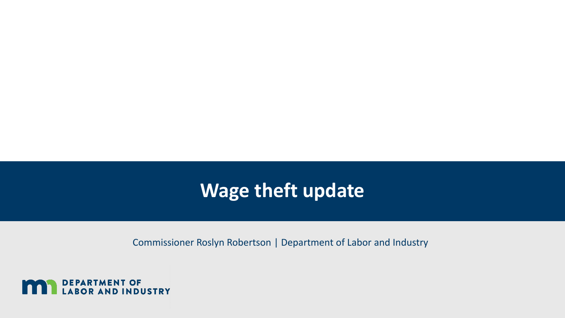#### **Wage theft update**

Commissioner Roslyn Robertson | Department of Labor and Industry

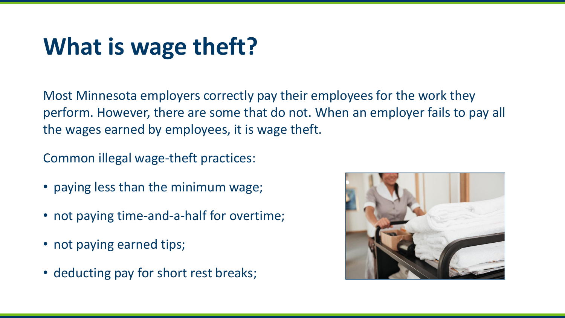## **What is wage theft?**

Most Minnesota employers correctly pay their employees for the work they perform. However, there are some that do not. When an employer fails to pay all the wages earned by employees, it is wage theft.

Common illegal wage-theft practices:

- paying less than the minimum wage;
- not paying time-and-a-half for overtime;
- not paying earned tips;
- deducting pay for short rest breaks;

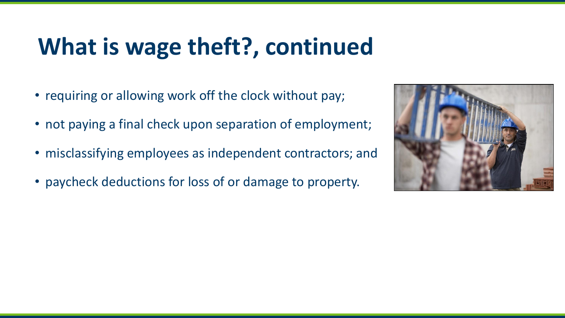## **What is wage theft?, continued**

- requiring or allowing work off the clock without pay;
- not paying a final check upon separation of employment;
- misclassifying employees as independent contractors; and
- paycheck deductions for loss of or damage to property.

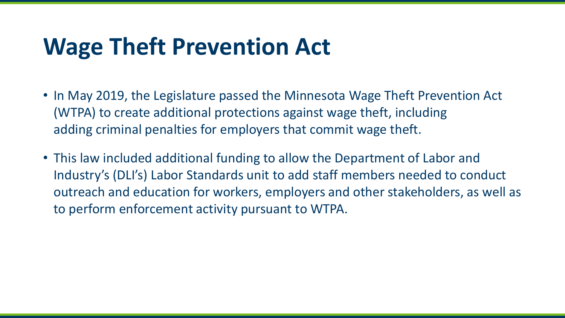### **Wage Theft Prevention Act**

- In May 2019, the Legislature passed the Minnesota Wage Theft Prevention Act (WTPA) to create additional protections against wage theft, including adding criminal penalties for employers that commit wage theft.
- This law included additional funding to allow the Department of Labor and Industry's (DLI's) Labor Standards unit to add staff members needed to conduct outreach and education for workers, employers and other stakeholders, as well as to perform enforcement activity pursuant to WTPA.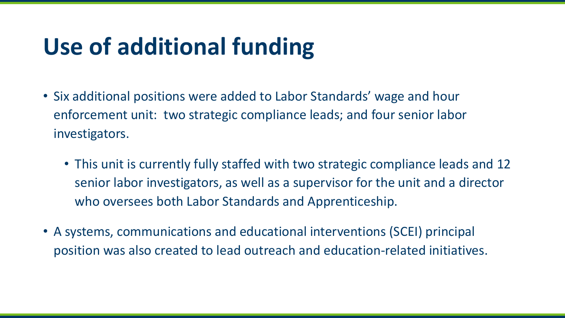# **Use of additional funding**

- Six additional positions were added to Labor Standards' wage and hour enforcement unit: two strategic compliance leads; and four senior labor investigators.
	- This unit is currently fully staffed with two strategic compliance leads and 12 senior labor investigators, as well as a supervisor for the unit and a director who oversees both Labor Standards and Apprenticeship.
- A systems, communications and educational interventions (SCEI) principal position was also created to lead outreach and education-related initiatives.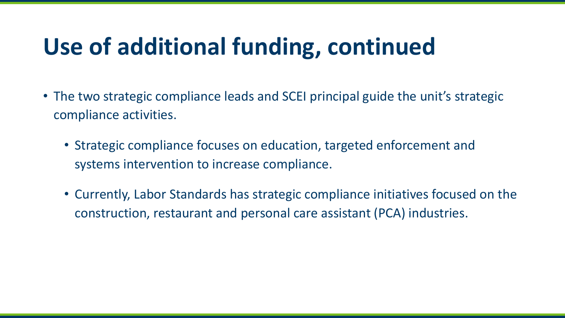## **Use of additional funding, continued**

- The two strategic compliance leads and SCEI principal guide the unit's strategic compliance activities.
	- Strategic compliance focuses on education, targeted enforcement and systems intervention to increase compliance.
	- Currently, Labor Standards has strategic compliance initiatives focused on the construction, restaurant and personal care assistant (PCA) industries.